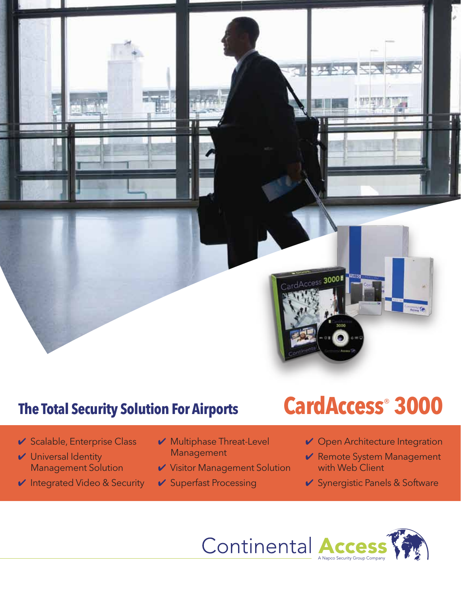

### **The Total Security Solution For Airports**

- ✔ Scalable, Enterprise Class
- **✔** Universal Identity Management Solution
- ✔ Integrated Video & Security
- **✓** Multiphase Threat-Level Management
- **✔** Visitor Management Solution
- ✔ Superfast Processing

# **CardAccess® 3000**

- **✓** Open Architecture Integration
- **✔ Remote System Management** with Web Client
- **✔** Synergistic Panels & Software